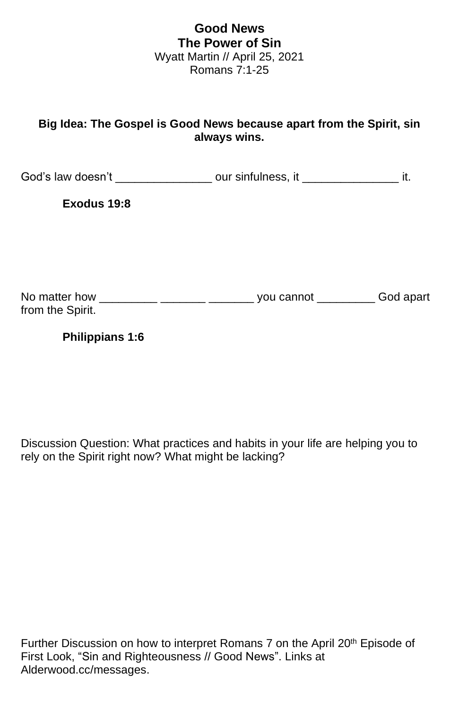## **Good News The Power of Sin** Wyatt Martin // April 25, 2021 Romans 7:1-25

## **Big Idea: The Gospel is Good News because apart from the Spirit, sin always wins.**

God's law doesn't \_\_\_\_\_\_\_\_\_\_\_\_\_\_\_\_\_\_ our sinfulness, it \_\_\_\_\_\_\_\_\_\_\_\_\_\_\_\_\_\_\_\_\_\_ it.

**Exodus 19:8**

| No matter how    | you cannot | God apart |
|------------------|------------|-----------|
| from the Spirit. |            |           |

**Philippians 1:6**

Discussion Question: What practices and habits in your life are helping you to rely on the Spirit right now? What might be lacking?

Further Discussion on how to interpret Romans 7 on the April 20<sup>th</sup> Episode of First Look, "Sin and Righteousness // Good News". Links at Alderwood.cc/messages.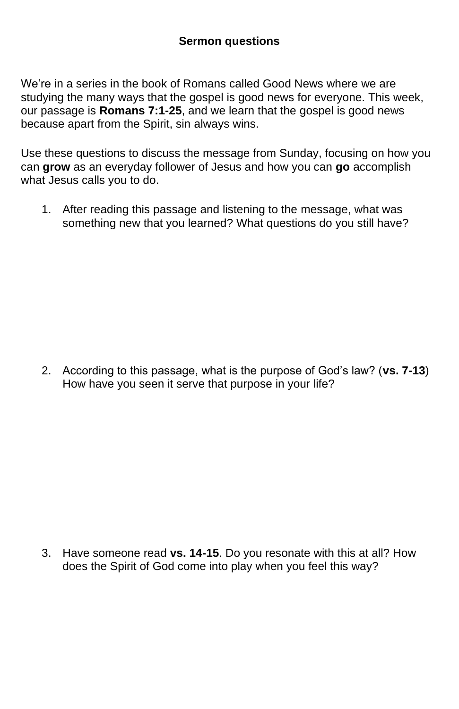We're in a series in the book of Romans called Good News where we are studying the many ways that the gospel is good news for everyone. This week, our passage is **Romans 7:1-25**, and we learn that the gospel is good news because apart from the Spirit, sin always wins.

Use these questions to discuss the message from Sunday, focusing on how you can **grow** as an everyday follower of Jesus and how you can **go** accomplish what Jesus calls you to do.

1. After reading this passage and listening to the message, what was something new that you learned? What questions do you still have?

2. According to this passage, what is the purpose of God's law? (**vs. 7-13**) How have you seen it serve that purpose in your life?

3. Have someone read **vs. 14-15**. Do you resonate with this at all? How does the Spirit of God come into play when you feel this way?